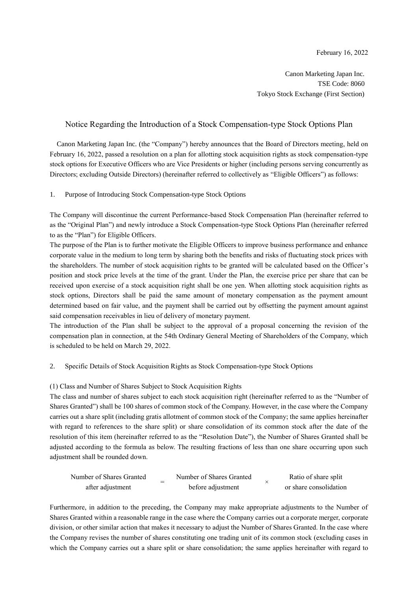Canon Marketing Japan Inc. TSE Code: 8060 Tokyo Stock Exchange (First Section)

# Notice Regarding the Introduction of a Stock Compensation-type Stock Options Plan

Canon Marketing Japan Inc. (the "Company") hereby announces that the Board of Directors meeting, held on February 16, 2022, passed a resolution on a plan for allotting stock acquisition rights as stock compensation-type stock options for Executive Officers who are Vice Presidents or higher (including persons serving concurrently as Directors; excluding Outside Directors) (hereinafter referred to collectively as "Eligible Officers") as follows:

## 1. Purpose of Introducing Stock Compensation-type Stock Options

The Company will discontinue the current Performance-based Stock Compensation Plan (hereinafter referred to as the "Original Plan") and newly introduce a Stock Compensation-type Stock Options Plan (hereinafter referred to as the "Plan") for Eligible Officers.

The purpose of the Plan is to further motivate the Eligible Officers to improve business performance and enhance corporate value in the medium to long term by sharing both the benefits and risks of fluctuating stock prices with the shareholders. The number of stock acquisition rights to be granted will be calculated based on the Officer's position and stock price levels at the time of the grant. Under the Plan, the exercise price per share that can be received upon exercise of a stock acquisition right shall be one yen. When allotting stock acquisition rights as stock options, Directors shall be paid the same amount of monetary compensation as the payment amount determined based on fair value, and the payment shall be carried out by offsetting the payment amount against said compensation receivables in lieu of delivery of monetary payment.

The introduction of the Plan shall be subject to the approval of a proposal concerning the revision of the compensation plan in connection, at the 54th Ordinary General Meeting of Shareholders of the Company, which is scheduled to be held on March 29, 2022.

#### 2. Specific Details of Stock Acquisition Rights as Stock Compensation-type Stock Options

#### (1) Class and Number of Shares Subject to Stock Acquisition Rights

The class and number of shares subject to each stock acquisition right (hereinafter referred to as the "Number of Shares Granted") shall be 100 shares of common stock of the Company. However, in the case where the Company carries out a share split (including gratis allotment of common stock of the Company; the same applies hereinafter with regard to references to the share split) or share consolidation of its common stock after the date of the resolution of this item (hereinafter referred to as the "Resolution Date"), the Number of Shares Granted shall be adjusted according to the formula as below. The resulting fractions of less than one share occurring upon such adjustment shall be rounded down.

| Number of Shares Granted |  | Number of Shares Granted | Ratio of share split   |
|--------------------------|--|--------------------------|------------------------|
| after adjustment         |  | before adjustment        | or share consolidation |

Furthermore, in addition to the preceding, the Company may make appropriate adjustments to the Number of Shares Granted within a reasonable range in the case where the Company carries out a corporate merger, corporate division, or other similar action that makes it necessary to adjust the Number of Shares Granted. In the case where the Company revises the number of shares constituting one trading unit of its common stock (excluding cases in which the Company carries out a share split or share consolidation; the same applies hereinafter with regard to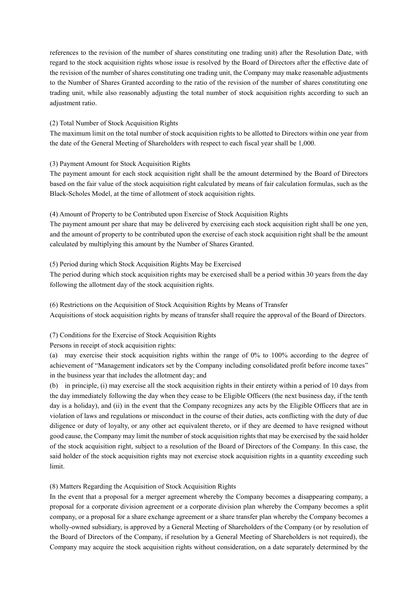references to the revision of the number of shares constituting one trading unit) after the Resolution Date, with regard to the stock acquisition rights whose issue is resolved by the Board of Directors after the effective date of the revision of the number of shares constituting one trading unit, the Company may make reasonable adjustments to the Number of Shares Granted according to the ratio of the revision of the number of shares constituting one trading unit, while also reasonably adjusting the total number of stock acquisition rights according to such an adjustment ratio.

## (2) Total Number of Stock Acquisition Rights

The maximum limit on the total number of stock acquisition rights to be allotted to Directors within one year from the date of the General Meeting of Shareholders with respect to each fiscal year shall be 1,000.

## (3) Payment Amount for Stock Acquisition Rights

The payment amount for each stock acquisition right shall be the amount determined by the Board of Directors based on the fair value of the stock acquisition right calculated by means of fair calculation formulas, such as the Black-Scholes Model, at the time of allotment of stock acquisition rights.

## (4) Amount of Property to be Contributed upon Exercise of Stock Acquisition Rights

The payment amount per share that may be delivered by exercising each stock acquisition right shall be one yen, and the amount of property to be contributed upon the exercise of each stock acquisition right shall be the amount calculated by multiplying this amount by the Number of Shares Granted.

## (5) Period during which Stock Acquisition Rights May be Exercised

The period during which stock acquisition rights may be exercised shall be a period within 30 years from the day following the allotment day of the stock acquisition rights.

(6) Restrictions on the Acquisition of Stock Acquisition Rights by Means of Transfer Acquisitions of stock acquisition rights by means of transfer shall require the approval of the Board of Directors.

(7) Conditions for the Exercise of Stock Acquisition Rights

Persons in receipt of stock acquisition rights:

(a) may exercise their stock acquisition rights within the range of 0% to 100% according to the degree of achievement of "Management indicators set by the Company including consolidated profit before income taxes" in the business year that includes the allotment day; and

(b) in principle, (i) may exercise all the stock acquisition rights in their entirety within a period of 10 days from the day immediately following the day when they cease to be Eligible Officers (the next business day, if the tenth day is a holiday), and (ii) in the event that the Company recognizes any acts by the Eligible Officers that are in violation of laws and regulations or misconduct in the course of their duties, acts conflicting with the duty of due diligence or duty of loyalty, or any other act equivalent thereto, or if they are deemed to have resigned without good cause, the Company may limit the number of stock acquisition rights that may be exercised by the said holder of the stock acquisition right, subject to a resolution of the Board of Directors of the Company. In this case, the said holder of the stock acquisition rights may not exercise stock acquisition rights in a quantity exceeding such limit.

# (8) Matters Regarding the Acquisition of Stock Acquisition Rights

In the event that a proposal for a merger agreement whereby the Company becomes a disappearing company, a proposal for a corporate division agreement or a corporate division plan whereby the Company becomes a split company, or a proposal for a share exchange agreement or a share transfer plan whereby the Company becomes a wholly-owned subsidiary, is approved by a General Meeting of Shareholders of the Company (or by resolution of the Board of Directors of the Company, if resolution by a General Meeting of Shareholders is not required), the Company may acquire the stock acquisition rights without consideration, on a date separately determined by the